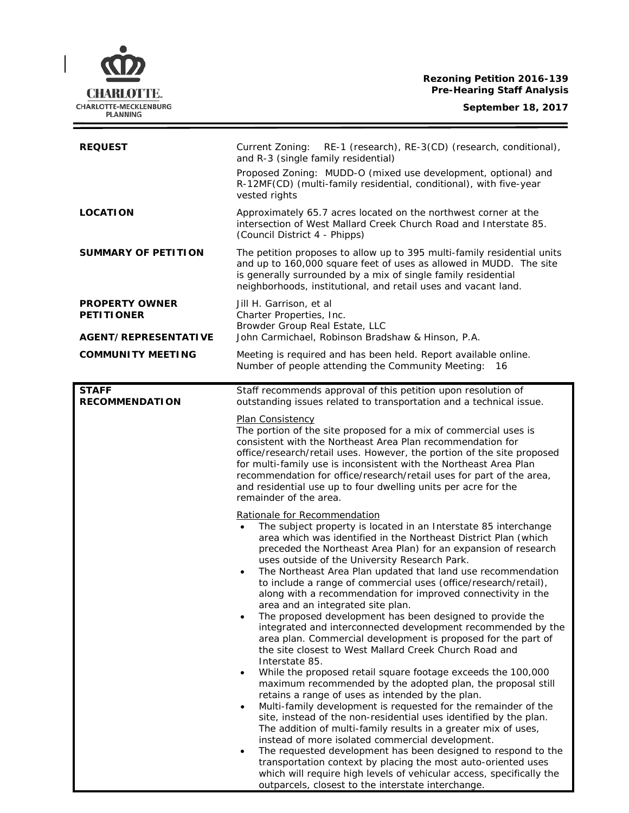**Rezoning Petition 2016-139 Pre-Hearing Staff Analysis**

| <b>REQUEST</b>                             | RE-1 (research), RE-3(CD) (research, conditional),<br>Current Zoning:<br>and R-3 (single family residential)                                                                                                                                                                                                                                                                                                                                                                                                                                                                                                                                                                                                                                                                                                                                                                                                                                                                                                                                                                                                                                                                                                                                                                                                                                                                                                                                  |
|--------------------------------------------|-----------------------------------------------------------------------------------------------------------------------------------------------------------------------------------------------------------------------------------------------------------------------------------------------------------------------------------------------------------------------------------------------------------------------------------------------------------------------------------------------------------------------------------------------------------------------------------------------------------------------------------------------------------------------------------------------------------------------------------------------------------------------------------------------------------------------------------------------------------------------------------------------------------------------------------------------------------------------------------------------------------------------------------------------------------------------------------------------------------------------------------------------------------------------------------------------------------------------------------------------------------------------------------------------------------------------------------------------------------------------------------------------------------------------------------------------|
|                                            | Proposed Zoning: MUDD-O (mixed use development, optional) and<br>R-12MF(CD) (multi-family residential, conditional), with five-year<br>vested rights                                                                                                                                                                                                                                                                                                                                                                                                                                                                                                                                                                                                                                                                                                                                                                                                                                                                                                                                                                                                                                                                                                                                                                                                                                                                                          |
| <b>LOCATION</b>                            | Approximately 65.7 acres located on the northwest corner at the<br>intersection of West Mallard Creek Church Road and Interstate 85.<br>(Council District 4 - Phipps)                                                                                                                                                                                                                                                                                                                                                                                                                                                                                                                                                                                                                                                                                                                                                                                                                                                                                                                                                                                                                                                                                                                                                                                                                                                                         |
| <b>SUMMARY OF PETITION</b>                 | The petition proposes to allow up to 395 multi-family residential units<br>and up to 160,000 square feet of uses as allowed in MUDD. The site<br>is generally surrounded by a mix of single family residential<br>neighborhoods, institutional, and retail uses and vacant land.                                                                                                                                                                                                                                                                                                                                                                                                                                                                                                                                                                                                                                                                                                                                                                                                                                                                                                                                                                                                                                                                                                                                                              |
| <b>PROPERTY OWNER</b><br><b>PETITIONER</b> | Jill H. Garrison, et al<br>Charter Properties, Inc.<br>Browder Group Real Estate, LLC                                                                                                                                                                                                                                                                                                                                                                                                                                                                                                                                                                                                                                                                                                                                                                                                                                                                                                                                                                                                                                                                                                                                                                                                                                                                                                                                                         |
| <b>AGENT/REPRESENTATIVE</b>                | John Carmichael, Robinson Bradshaw & Hinson, P.A.                                                                                                                                                                                                                                                                                                                                                                                                                                                                                                                                                                                                                                                                                                                                                                                                                                                                                                                                                                                                                                                                                                                                                                                                                                                                                                                                                                                             |
| <b>COMMUNITY MEETING</b>                   | Meeting is required and has been held. Report available online.<br>Number of people attending the Community Meeting: 16                                                                                                                                                                                                                                                                                                                                                                                                                                                                                                                                                                                                                                                                                                                                                                                                                                                                                                                                                                                                                                                                                                                                                                                                                                                                                                                       |
| <b>STAFF</b><br><b>RECOMMENDATION</b>      | Staff recommends approval of this petition upon resolution of<br>outstanding issues related to transportation and a technical issue.                                                                                                                                                                                                                                                                                                                                                                                                                                                                                                                                                                                                                                                                                                                                                                                                                                                                                                                                                                                                                                                                                                                                                                                                                                                                                                          |
|                                            | <b>Plan Consistency</b><br>The portion of the site proposed for a mix of commercial uses is<br>consistent with the Northeast Area Plan recommendation for<br>office/research/retail uses. However, the portion of the site proposed<br>for multi-family use is inconsistent with the Northeast Area Plan<br>recommendation for office/research/retail uses for part of the area,<br>and residential use up to four dwelling units per acre for the<br>remainder of the area.                                                                                                                                                                                                                                                                                                                                                                                                                                                                                                                                                                                                                                                                                                                                                                                                                                                                                                                                                                  |
|                                            | Rationale for Recommendation<br>The subject property is located in an Interstate 85 interchange<br>area which was identified in the Northeast District Plan (which<br>preceded the Northeast Area Plan) for an expansion of research<br>uses outside of the University Research Park.<br>The Northeast Area Plan updated that land use recommendation<br>$\bullet$<br>to include a range of commercial uses (office/research/retail),<br>along with a recommendation for improved connectivity in the<br>area and an integrated site plan.<br>The proposed development has been designed to provide the<br>$\bullet$<br>integrated and interconnected development recommended by the<br>area plan. Commercial development is proposed for the part of<br>the site closest to West Mallard Creek Church Road and<br>Interstate 85.<br>While the proposed retail square footage exceeds the 100,000<br>$\bullet$<br>maximum recommended by the adopted plan, the proposal still<br>retains a range of uses as intended by the plan.<br>Multi-family development is requested for the remainder of the<br>$\bullet$<br>site, instead of the non-residential uses identified by the plan.<br>The addition of multi-family results in a greater mix of uses,<br>instead of more isolated commercial development.<br>The requested development has been designed to respond to the<br>transportation context by placing the most auto-oriented uses |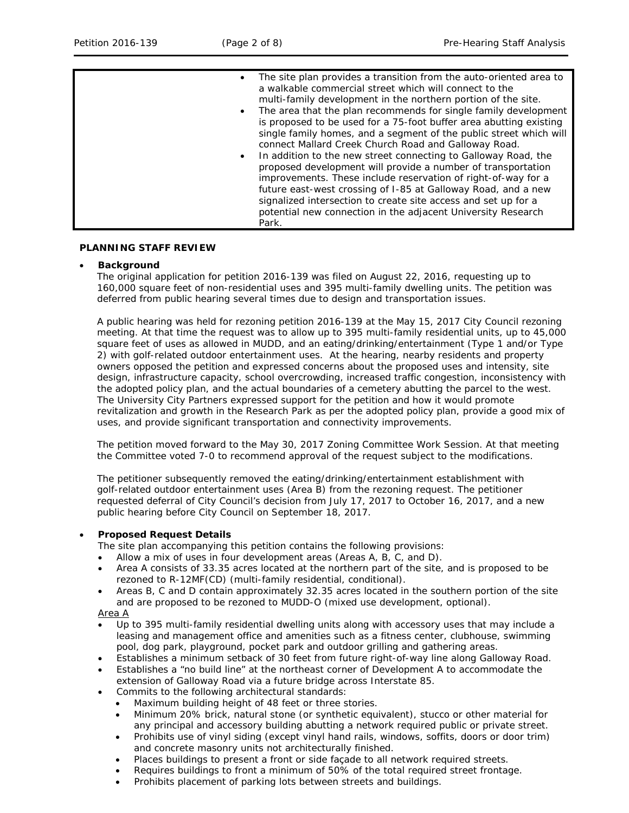| Park. |
|-------|
|-------|

### **PLANNING STAFF REVIEW**

### • **Background**

The original application for petition 2016-139 was filed on August 22, 2016, requesting up to 160,000 square feet of non-residential uses and 395 multi-family dwelling units. The petition was deferred from public hearing several times due to design and transportation issues.

A public hearing was held for rezoning petition 2016-139 at the May 15, 2017 City Council rezoning meeting. At that time the request was to allow up to 395 multi-family residential units, up to 45,000 square feet of uses as allowed in MUDD, and an eating/drinking/entertainment (Type 1 and/or Type 2) with golf-related outdoor entertainment uses. At the hearing, nearby residents and property owners opposed the petition and expressed concerns about the proposed uses and intensity, site design, infrastructure capacity, school overcrowding, increased traffic congestion, inconsistency with the adopted policy plan, and the actual boundaries of a cemetery abutting the parcel to the west. The University City Partners expressed support for the petition and how it would promote revitalization and growth in the Research Park as per the adopted policy plan, provide a good mix of uses, and provide significant transportation and connectivity improvements.

The petition moved forward to the May 30, 2017 Zoning Committee Work Session. At that meeting the Committee voted 7-0 to recommend approval of the request subject to the modifications.

The petitioner subsequently removed the eating/drinking/entertainment establishment with golf-related outdoor entertainment uses (Area B) from the rezoning request. The petitioner requested deferral of City Council's decision from July 17, 2017 to October 16, 2017, and a new public hearing before City Council on September 18, 2017.

## • **Proposed Request Details**

The site plan accompanying this petition contains the following provisions:

- Allow a mix of uses in four development areas (Areas A, B, C, and D).
- Area A consists of 33.35 acres located at the northern part of the site, and is proposed to be rezoned to R-12MF(CD) (multi-family residential, conditional).
- Areas B, C and D contain approximately 32.35 acres located in the southern portion of the site and are proposed to be rezoned to MUDD-O (mixed use development, optional).

## Area A

- Up to 395 multi-family residential dwelling units along with accessory uses that may include a leasing and management office and amenities such as a fitness center, clubhouse, swimming pool, dog park, playground, pocket park and outdoor grilling and gathering areas.
- Establishes a minimum setback of 30 feet from future right-of-way line along Galloway Road.
- Establishes a "no build line" at the northeast corner of Development A to accommodate the
- extension of Galloway Road via a future bridge across Interstate 85.
- Commits to the following architectural standards:
	- Maximum building height of 48 feet or three stories.
	- Minimum 20% brick, natural stone (or synthetic equivalent), stucco or other material for any principal and accessory building abutting a network required public or private street.
	- Prohibits use of vinyl siding (except vinyl hand rails, windows, soffits, doors or door trim) and concrete masonry units not architecturally finished.
	- Places buildings to present a front or side façade to all network required streets.
	- Requires buildings to front a minimum of 50% of the total required street frontage.
	- Prohibits placement of parking lots between streets and buildings.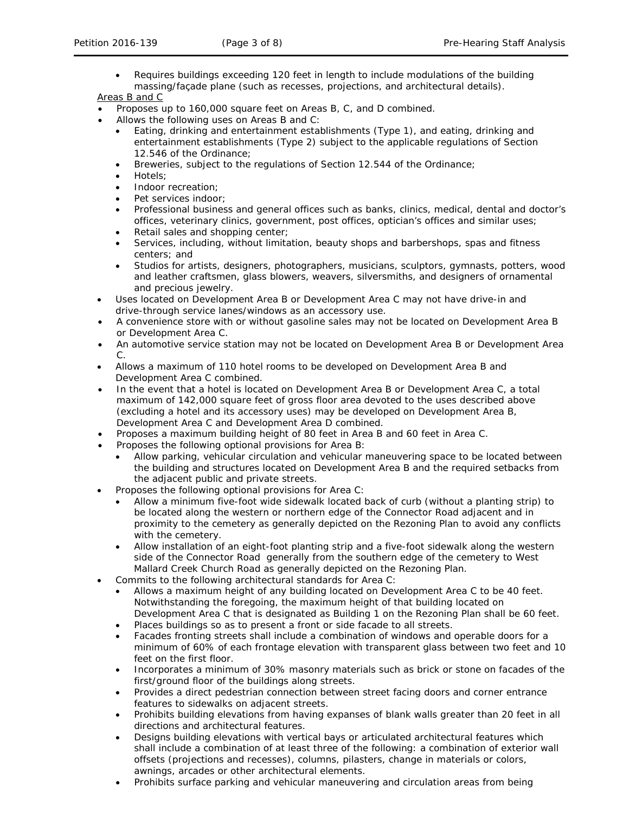• Requires buildings exceeding 120 feet in length to include modulations of the building massing/façade plane (such as recesses, projections, and architectural details).

Areas B and C

- Proposes up to 160,000 square feet on Areas B, C, and D combined.
- Allows the following uses on Areas B and C:
	- Eating, drinking and entertainment establishments (Type 1), and eating, drinking and entertainment establishments (Type 2) subject to the applicable regulations of Section 12.546 of the Ordinance;
	- Breweries, subject to the regulations of Section 12.544 of the Ordinance;
	- Hotels;
	- Indoor recreation;
	- Pet services indoor:
	- Professional business and general offices such as banks, clinics, medical, dental and doctor's offices, veterinary clinics, government, post offices, optician's offices and similar uses;
	- Retail sales and shopping center;
	- Services, including, without limitation, beauty shops and barbershops, spas and fitness centers; and
	- Studios for artists, designers, photographers, musicians, sculptors, gymnasts, potters, wood and leather craftsmen, glass blowers, weavers, silversmiths, and designers of ornamental and precious jewelry.
- Uses located on Development Area B or Development Area C may not have drive-in and drive-through service lanes/windows as an accessory use.
- A convenience store with or without gasoline sales may not be located on Development Area B or Development Area C.
- An automotive service station may not be located on Development Area B or Development Area  $\mathcal{C}$
- Allows a maximum of 110 hotel rooms to be developed on Development Area B and Development Area C combined.
- In the event that a hotel is located on Development Area B or Development Area C, a total maximum of 142,000 square feet of gross floor area devoted to the uses described above (excluding a hotel and its accessory uses) may be developed on Development Area B, Development Area C and Development Area D combined.
- Proposes a maximum building height of 80 feet in Area B and 60 feet in Area C.
- Proposes the following optional provisions for Area B:
	- Allow parking, vehicular circulation and vehicular maneuvering space to be located between the building and structures located on Development Area B and the required setbacks from the adjacent public and private streets.
- Proposes the following optional provisions for Area C:
	- Allow a minimum five-foot wide sidewalk located back of curb (without a planting strip) to be located along the western or northern edge of the Connector Road adjacent and in proximity to the cemetery as generally depicted on the Rezoning Plan to avoid any conflicts with the cemetery.
	- Allow installation of an eight-foot planting strip and a five-foot sidewalk along the western side of the Connector Road generally from the southern edge of the cemetery to West Mallard Creek Church Road as generally depicted on the Rezoning Plan.
- Commits to the following architectural standards for Area C:
	- Allows a maximum height of any building located on Development Area C to be 40 feet. Notwithstanding the foregoing, the maximum height of that building located on Development Area C that is designated as Building 1 on the Rezoning Plan shall be 60 feet.
	- Places buildings so as to present a front or side facade to all streets.
	- Facades fronting streets shall include a combination of windows and operable doors for a minimum of 60% of each frontage elevation with transparent glass between two feet and 10 feet on the first floor.
	- Incorporates a minimum of 30% masonry materials such as brick or stone on facades of the first/ground floor of the buildings along streets.
	- Provides a direct pedestrian connection between street facing doors and corner entrance features to sidewalks on adjacent streets.
	- Prohibits building elevations from having expanses of blank walls greater than 20 feet in all directions and architectural features.
	- Designs building elevations with vertical bays or articulated architectural features which shall include a combination of at least three of the following: a combination of exterior wall offsets (projections and recesses), columns, pilasters, change in materials or colors, awnings, arcades or other architectural elements.
	- Prohibits surface parking and vehicular maneuvering and circulation areas from being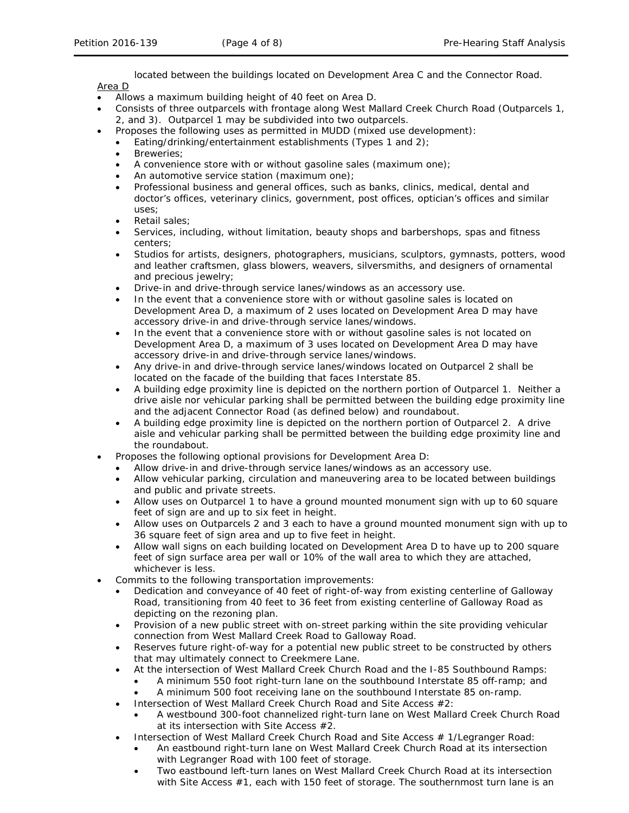located between the buildings located on Development Area C and the Connector Road.

Area D

- Allows a maximum building height of 40 feet on Area D.
- Consists of three outparcels with frontage along West Mallard Creek Church Road (Outparcels 1, 2, and 3). Outparcel 1 may be subdivided into two outparcels.
	- Proposes the following uses as permitted in MUDD (mixed use development):
	- Eating/drinking/entertainment establishments (Types 1 and 2);
	- Breweries;
	- A convenience store with or without gasoline sales (maximum one);
	- An automotive service station (maximum one);
	- Professional business and general offices, such as banks, clinics, medical, dental and doctor's offices, veterinary clinics, government, post offices, optician's offices and similar uses;
	- Retail sales:
	- Services, including, without limitation, beauty shops and barbershops, spas and fitness centers;
	- Studios for artists, designers, photographers, musicians, sculptors, gymnasts, potters, wood and leather craftsmen, glass blowers, weavers, silversmiths, and designers of ornamental and precious jewelry;
	- Drive-in and drive-through service lanes/windows as an accessory use.
	- In the event that a convenience store with or without gasoline sales is located on Development Area D, a maximum of 2 uses located on Development Area D may have accessory drive-in and drive-through service lanes/windows.
	- In the event that a convenience store with or without gasoline sales is not located on Development Area D, a maximum of 3 uses located on Development Area D may have accessory drive-in and drive-through service lanes/windows.
	- Any drive-in and drive-through service lanes/windows located on Outparcel 2 shall be located on the facade of the building that faces Interstate 85.
	- A building edge proximity line is depicted on the northern portion of Outparcel 1. Neither a drive aisle nor vehicular parking shall be permitted between the building edge proximity line and the adjacent Connector Road (as defined below) and roundabout.
	- A building edge proximity line is depicted on the northern portion of Outparcel 2. A drive aisle and vehicular parking shall be permitted between the building edge proximity line and the roundabout.
- Proposes the following optional provisions for Development Area D:
	- Allow drive-in and drive-through service lanes/windows as an accessory use.
		- Allow vehicular parking, circulation and maneuvering area to be located between buildings and public and private streets.
		- Allow uses on Outparcel 1 to have a ground mounted monument sign with up to 60 square feet of sign are and up to six feet in height.
	- Allow uses on Outparcels 2 and 3 each to have a ground mounted monument sign with up to 36 square feet of sign area and up to five feet in height.
	- Allow wall signs on each building located on Development Area D to have up to 200 square feet of sign surface area per wall or 10% of the wall area to which they are attached, whichever is less.
- Commits to the following transportation improvements:
	- Dedication and conveyance of 40 feet of right-of-way from existing centerline of Galloway Road, transitioning from 40 feet to 36 feet from existing centerline of Galloway Road as depicting on the rezoning plan.
	- Provision of a new public street with on-street parking within the site providing vehicular connection from West Mallard Creek Road to Galloway Road.
	- Reserves future right-of-way for a potential new public street to be constructed by others that may ultimately connect to Creekmere Lane.
	- At the intersection of West Mallard Creek Church Road and the I-85 Southbound Ramps:
		- A minimum 550 foot right-turn lane on the southbound Interstate 85 off-ramp; and
		- A minimum 500 foot receiving lane on the southbound Interstate 85 on-ramp.
	- Intersection of West Mallard Creek Church Road and Site Access #2:
		- A westbound 300-foot channelized right-turn lane on West Mallard Creek Church Road at its intersection with Site Access #2.
	- Intersection of West Mallard Creek Church Road and Site Access # 1/Legranger Road:
		- An eastbound right-turn lane on West Mallard Creek Church Road at its intersection with Legranger Road with 100 feet of storage.
		- Two eastbound left-turn lanes on West Mallard Creek Church Road at its intersection with Site Access #1, each with 150 feet of storage. The southernmost turn lane is an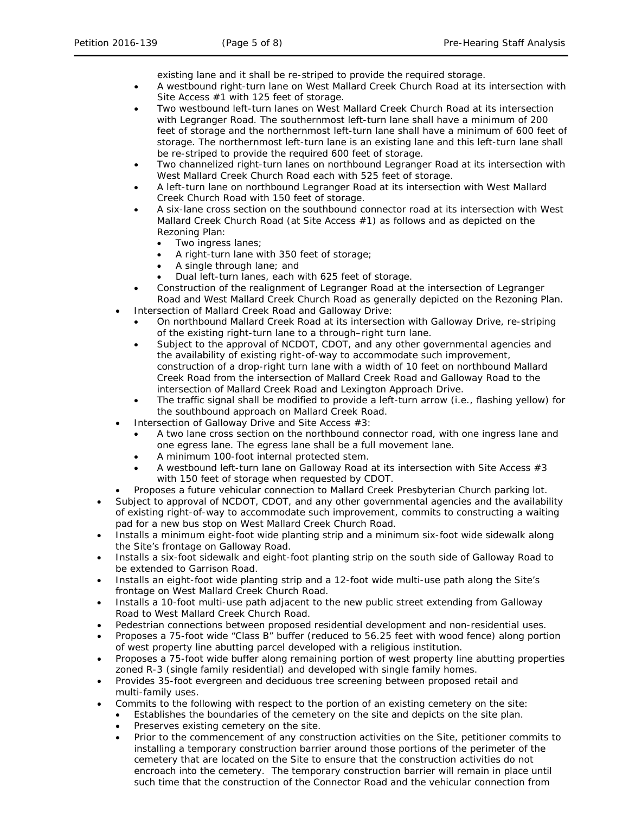existing lane and it shall be re-striped to provide the required storage.

- A westbound right-turn lane on West Mallard Creek Church Road at its intersection with Site Access #1 with 125 feet of storage.
- Two westbound left-turn lanes on West Mallard Creek Church Road at its intersection with Legranger Road. The southernmost left-turn lane shall have a minimum of 200 feet of storage and the northernmost left-turn lane shall have a minimum of 600 feet of storage. The northernmost left-turn lane is an existing lane and this left-turn lane shall be re-striped to provide the required 600 feet of storage.
- Two channelized right-turn lanes on northbound Legranger Road at its intersection with West Mallard Creek Church Road each with 525 feet of storage.
- A left-turn lane on northbound Legranger Road at its intersection with West Mallard Creek Church Road with 150 feet of storage.
- A six-lane cross section on the southbound connector road at its intersection with West Mallard Creek Church Road (at Site Access #1) as follows and as depicted on the Rezoning Plan:
	- Two ingress lanes;
	- A right-turn lane with 350 feet of storage;
	- A single through lane; and
	- Dual left-turn lanes, each with 625 feet of storage.
- Construction of the realignment of Legranger Road at the intersection of Legranger Road and West Mallard Creek Church Road as generally depicted on the Rezoning Plan.
- Intersection of Mallard Creek Road and Galloway Drive:
	- On northbound Mallard Creek Road at its intersection with Galloway Drive, re-striping of the existing right-turn lane to a through–right turn lane.
	- Subject to the approval of NCDOT, CDOT, and any other governmental agencies and the availability of existing right-of-way to accommodate such improvement, construction of a drop-right turn lane with a width of 10 feet on northbound Mallard Creek Road from the intersection of Mallard Creek Road and Galloway Road to the intersection of Mallard Creek Road and Lexington Approach Drive.
	- The traffic signal shall be modified to provide a left-turn arrow (i.e., flashing yellow) for the southbound approach on Mallard Creek Road.
- Intersection of Galloway Drive and Site Access  $#3$ :
	- A two lane cross section on the northbound connector road, with one ingress lane and one egress lane. The egress lane shall be a full movement lane.
	- A minimum 100-foot internal protected stem.
	- A westbound left-turn lane on Galloway Road at its intersection with Site Access #3 with 150 feet of storage when requested by CDOT.
	- Proposes a future vehicular connection to Mallard Creek Presbyterian Church parking lot.
- Subject to approval of NCDOT, CDOT, and any other governmental agencies and the availability of existing right-of-way to accommodate such improvement, commits to constructing a waiting pad for a new bus stop on West Mallard Creek Church Road.
- Installs a minimum eight-foot wide planting strip and a minimum six-foot wide sidewalk along the Site's frontage on Galloway Road.
- Installs a six-foot sidewalk and eight-foot planting strip on the south side of Galloway Road to be extended to Garrison Road.
- Installs an eight-foot wide planting strip and a 12-foot wide multi-use path along the Site's frontage on West Mallard Creek Church Road.
- Installs a 10-foot multi-use path adjacent to the new public street extending from Galloway Road to West Mallard Creek Church Road.
- Pedestrian connections between proposed residential development and non-residential uses.
- Proposes a 75-foot wide "Class B" buffer (reduced to 56.25 feet with wood fence) along portion of west property line abutting parcel developed with a religious institution.
- Proposes a 75-foot wide buffer along remaining portion of west property line abutting properties zoned R-3 (single family residential) and developed with single family homes.
- Provides 35-foot evergreen and deciduous tree screening between proposed retail and multi-family uses.
- Commits to the following with respect to the portion of an existing cemetery on the site:
	- Establishes the boundaries of the cemetery on the site and depicts on the site plan.
	- Preserves existing cemetery on the site.
	- Prior to the commencement of any construction activities on the Site, petitioner commits to installing a temporary construction barrier around those portions of the perimeter of the cemetery that are located on the Site to ensure that the construction activities do not encroach into the cemetery. The temporary construction barrier will remain in place until such time that the construction of the Connector Road and the vehicular connection from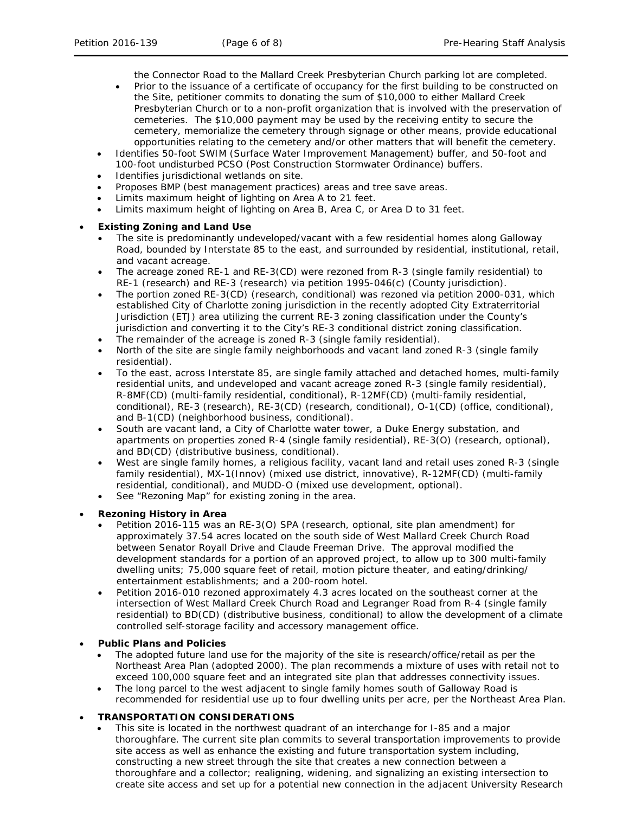the Connector Road to the Mallard Creek Presbyterian Church parking lot are completed.

- Prior to the issuance of a certificate of occupancy for the first building to be constructed on the Site, petitioner commits to donating the sum of \$10,000 to either Mallard Creek Presbyterian Church or to a non-profit organization that is involved with the preservation of cemeteries. The \$10,000 payment may be used by the receiving entity to secure the cemetery, memorialize the cemetery through signage or other means, provide educational opportunities relating to the cemetery and/or other matters that will benefit the cemetery.
- Identifies 50-foot SWIM (Surface Water Improvement Management) buffer, and 50-foot and 100-foot undisturbed PCSO (Post Construction Stormwater Ordinance) buffers.
- Identifies jurisdictional wetlands on site.
- Proposes BMP (best management practices) areas and tree save areas.
- Limits maximum height of lighting on Area A to 21 feet.
- Limits maximum height of lighting on Area B, Area C, or Area D to 31 feet.

# • **Existing Zoning and Land Use**

- The site is predominantly undeveloped/vacant with a few residential homes along Galloway Road, bounded by Interstate 85 to the east, and surrounded by residential, institutional, retail, and vacant acreage.
- The acreage zoned RE-1 and RE-3(CD) were rezoned from R-3 (single family residential) to RE-1 (research) and RE-3 (research) via petition 1995-046(c) (County jurisdiction).
- The portion zoned RE-3(CD) (research, conditional) was rezoned via petition 2000-031, which established City of Charlotte zoning jurisdiction in the recently adopted City Extraterritorial Jurisdiction (ETJ) area utilizing the current RE-3 zoning classification under the County's jurisdiction and converting it to the City's RE-3 conditional district zoning classification.
- The remainder of the acreage is zoned R-3 (single family residential).
- North of the site are single family neighborhoods and vacant land zoned R-3 (single family residential).
- To the east, across Interstate 85, are single family attached and detached homes, multi-family residential units, and undeveloped and vacant acreage zoned R-3 (single family residential), R-8MF(CD) (multi-family residential, conditional), R-12MF(CD) (multi-family residential, conditional), RE-3 (research), RE-3(CD) (research, conditional), O-1(CD) (office, conditional), and B-1(CD) (neighborhood business, conditional).
- South are vacant land, a City of Charlotte water tower, a Duke Energy substation, and apartments on properties zoned R-4 (single family residential), RE-3(O) (research, optional), and BD(CD) (distributive business, conditional).
- West are single family homes, a religious facility, vacant land and retail uses zoned R-3 (single family residential), MX-1(Innov) (mixed use district, innovative), R-12MF(CD) (multi-family residential, conditional), and MUDD-O (mixed use development, optional).
- See "Rezoning Map" for existing zoning in the area.

## • **Rezoning History in Area**

- Petition 2016-115 was an RE-3(O) SPA (research, optional, site plan amendment) for approximately 37.54 acres located on the south side of West Mallard Creek Church Road between Senator Royall Drive and Claude Freeman Drive. The approval modified the development standards for a portion of an approved project, to allow up to 300 multi-family dwelling units; 75,000 square feet of retail, motion picture theater, and eating/drinking/ entertainment establishments; and a 200-room hotel.
- Petition 2016-010 rezoned approximately 4.3 acres located on the southeast corner at the intersection of West Mallard Creek Church Road and Legranger Road from R-4 (single family residential) to BD(CD) (distributive business, conditional) to allow the development of a climate controlled self-storage facility and accessory management office.

## • **Public Plans and Policies**

- The adopted future land use for the majority of the site is research/office/retail as per the *Northeast Area Plan* (adopted 2000). The plan recommends a mixture of uses with retail not to exceed 100,000 square feet and an integrated site plan that addresses connectivity issues.
- The long parcel to the west adjacent to single family homes south of Galloway Road is recommended for residential use up to four dwelling units per acre, per the *Northeast Area Plan*.

# • **TRANSPORTATION CONSIDERATIONS**

This site is located in the northwest quadrant of an interchange for I-85 and a major thoroughfare. The current site plan commits to several transportation improvements to provide site access as well as enhance the existing and future transportation system including, constructing a new street through the site that creates a new connection between a thoroughfare and a collector; realigning, widening, and signalizing an existing intersection to create site access and set up for a potential new connection in the adjacent University Research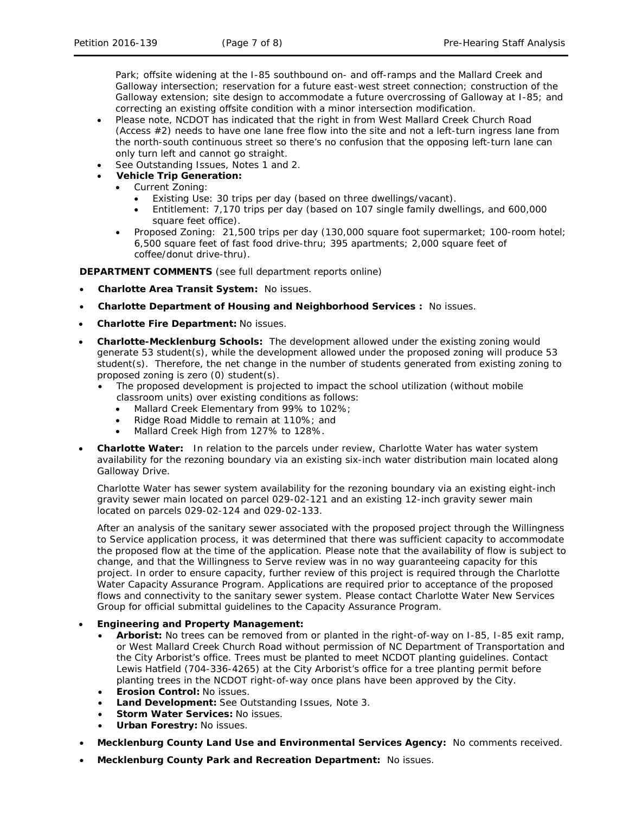Park; offsite widening at the I-85 southbound on- and off-ramps and the Mallard Creek and Galloway intersection; reservation for a future east-west street connection; construction of the Galloway extension; site design to accommodate a future overcrossing of Galloway at I-85; and correcting an existing offsite condition with a minor intersection modification.

- Please note, NCDOT has indicated that the right in from West Mallard Creek Church Road (Access #2) needs to have one lane free flow into the site and not a left-turn ingress lane from the north-south continuous street so there's no confusion that the opposing left-turn lane can only turn left and cannot go straight.
- See Outstanding Issues, Notes 1 and 2.
- **Vehicle Trip Generation:**
	- Current Zoning:
		- Existing Use: 30 trips per day (based on three dwellings/vacant).
		- Entitlement: 7,170 trips per day (based on 107 single family dwellings, and 600,000 square feet office).
	- Proposed Zoning: 21,500 trips per day (130,000 square foot supermarket; 100-room hotel; 6,500 square feet of fast food drive-thru; 395 apartments; 2,000 square feet of coffee/donut drive-thru).

**DEPARTMENT COMMENTS** (see full department reports online)

- **Charlotte Area Transit System:** No issues.
- **Charlotte Department of Housing and Neighborhood Services :** No issues.
- **Charlotte Fire Department:** No issues.
- **Charlotte-Mecklenburg Schools:** The development allowed under the existing zoning would generate 53 student(s), while the development allowed under the proposed zoning will produce 53 student(s). Therefore, the net change in the number of students generated from existing zoning to proposed zoning is zero (0) student(s).
	- The proposed development is projected to impact the school utilization (without mobile classroom units) over existing conditions as follows:
		- Mallard Creek Elementary from 99% to 102%;
		- Ridge Road Middle to remain at 110%; and
		- Mallard Creek High from 127% to 128%.
- **Charlotte Water:** In relation to the parcels under review, Charlotte Water has water system availability for the rezoning boundary via an existing six-inch water distribution main located along Galloway Drive.

Charlotte Water has sewer system availability for the rezoning boundary via an existing eight-inch gravity sewer main located on parcel 029-02-121 and an existing 12-inch gravity sewer main located on parcels 029-02-124 and 029-02-133.

After an analysis of the sanitary sewer associated with the proposed project through the Willingness to Service application process, it was determined that there was sufficient capacity to accommodate the proposed flow at the time of the application. Please note that the availability of flow is subject to change, and that the Willingness to Serve review was in no way guaranteeing capacity for this project. In order to ensure capacity, further review of this project is required through the Charlotte Water Capacity Assurance Program. Applications are required prior to acceptance of the proposed flows and connectivity to the sanitary sewer system. Please contact Charlotte Water New Services Group for official submittal guidelines to the Capacity Assurance Program.

## • **Engineering and Property Management:**

- **Arborist:** No trees can be removed from or planted in the right-of-way on I-85, I-85 exit ramp, or West Mallard Creek Church Road without permission of NC Department of Transportation and the City Arborist's office. Trees must be planted to meet NCDOT planting guidelines. Contact Lewis Hatfield (704-336-4265) at the City Arborist's office for a tree planting permit before planting trees in the NCDOT right-of-way once plans have been approved by the City.
- **Erosion Control:** No issues.
- **Land Development:** See Outstanding Issues, Note 3.
- **Storm Water Services:** No issues.
- **Urban Forestry:** No issues.
- **Mecklenburg County Land Use and Environmental Services Agency:** No comments received.
- **Mecklenburg County Park and Recreation Department:** No issues.